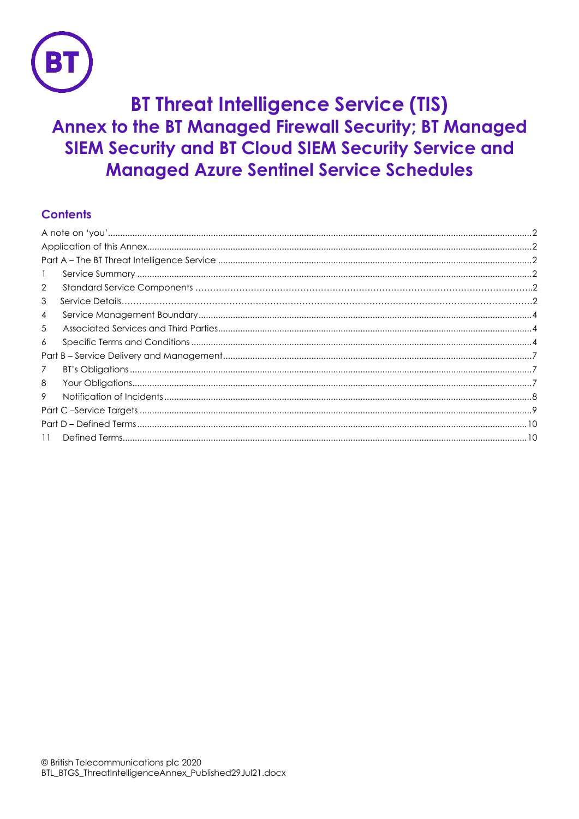

# **BT Threat Intelligence Service (TIS) Annex to the BT Managed Firewall Security; BT Managed SIEM Security and BT Cloud SIEM Security Service and Managed Azure Sentinel Service Schedules**

# **Contents**

| -1             |  |
|----------------|--|
| $\overline{2}$ |  |
| 3              |  |
| $\overline{4}$ |  |
| 5              |  |
| 6              |  |
|                |  |
| 7              |  |
| 8              |  |
| 9              |  |
|                |  |
|                |  |
| 11             |  |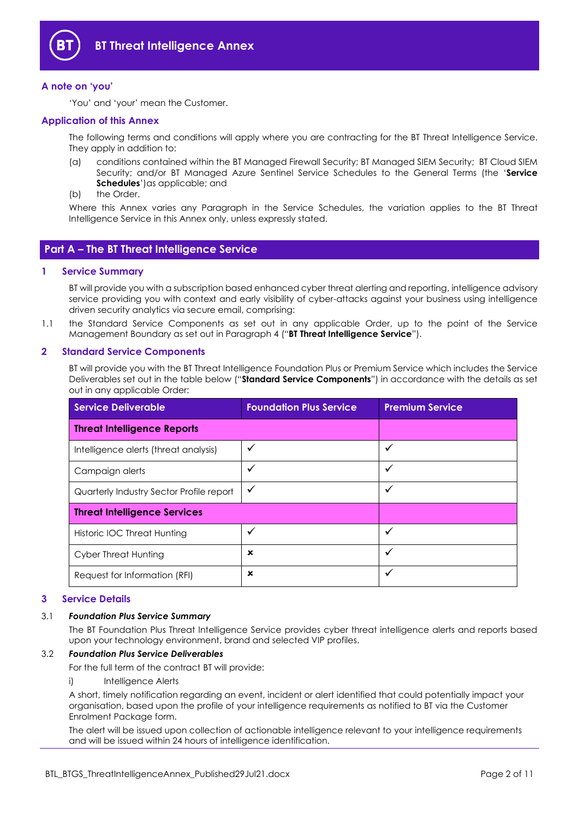

## <span id="page-1-0"></span>**A note on 'you'**

'You' and 'your' mean the Customer.

## <span id="page-1-1"></span>**Application of this Annex**

The following terms and conditions will apply where you are contracting for the BT Threat Intelligence Service. They apply in addition to:

- (a) conditions contained within the BT Managed Firewall Security; BT Managed SIEM Security; BT Cloud SIEM Security; and/or BT Managed Azure Sentinel Service Schedules to the General Terms (the '**Service Schedules**')as applicable; and
- (b) the Order.

Where this Annex varies any Paragraph in the Service Schedules, the variation applies to the BT Threat Intelligence Service in this Annex only, unless expressly stated.

# <span id="page-1-2"></span>**Part A – The BT Threat Intelligence Service**

#### <span id="page-1-3"></span>**1 Service Summary**

BT will provide you with a subscription based enhanced cyber threat alerting and reporting, intelligence advisory service providing you with context and early visibility of cyber-attacks against your business using intelligence driven security analytics via secure email, comprising:

1.1 the Standard Service Components as set out in any applicable Order, up to the point of the Service Management Boundary as set out in Paragraph 4 ("**BT Threat Intelligence Service**").

#### <span id="page-1-4"></span>**2 Standard Service Components**

BT will provide you with the BT Threat Intelligence Foundation Plus or Premium Service which includes the Service Deliverables set out in the table below ("**Standard Service Components**") in accordance with the details as set out in any applicable Order:

| <b>Service Deliverable</b>               | <b>Foundation Plus Service</b> | <b>Premium Service</b> |  |
|------------------------------------------|--------------------------------|------------------------|--|
| <b>Threat Intelligence Reports</b>       |                                |                        |  |
| Intelligence alerts (threat analysis)    | ✓                              | ✓                      |  |
| Campaign alerts                          | ✓                              | ✓                      |  |
| Quarterly Industry Sector Profile report | $\checkmark$                   | ✓                      |  |
| <b>Threat Intelligence Services</b>      |                                |                        |  |
| Historic IOC Threat Hunting              | ✓                              | ✓                      |  |
| Cyber Threat Hunting                     | ×                              | ✓                      |  |
| Request for Information (RFI)            | ×                              | ✓                      |  |

#### **3 Service Details**

#### 3.1 *Foundation Plus Service Summary*

The BT Foundation Plus Threat Intelligence Service provides cyber threat intelligence alerts and reports based upon your technology environment, brand and selected VIP profiles.

#### 3.2 *Foundation Plus Service Deliverables*

For the full term of the contract BT will provide:

i) Intelligence Alerts

A short, timely notification regarding an event, incident or alert identified that could potentially impact your organisation, based upon the profile of your intelligence requirements as notified to BT via the Customer Enrolment Package form.

The alert will be issued upon collection of actionable intelligence relevant to your intelligence requirements and will be issued within 24 hours of intelligence identification.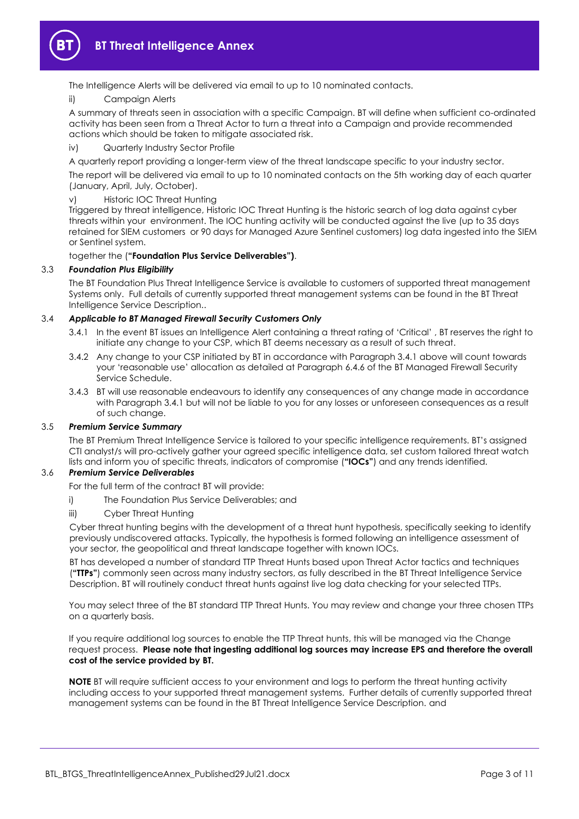

The Intelligence Alerts will be delivered via email to up to 10 nominated contacts.

ii) Campaign Alerts

A summary of threats seen in association with a specific Campaign. BT will define when sufficient co-ordinated activity has been seen from a Threat Actor to turn a threat into a Campaign and provide recommended actions which should be taken to mitigate associated risk.

iv) Quarterly Industry Sector Profile

A quarterly report providing a longer-term view of the threat landscape specific to your industry sector.

The report will be delivered via email to up to 10 nominated contacts on the 5th working day of each quarter (January, April, July, October).

#### v) Historic IOC Threat Hunting

Triggered by threat intelligence, Historic IOC Threat Hunting is the historic search of log data against cyber threats within your environment. The IOC hunting activity will be conducted against the live (up to 35 days retained for SIEM customers or 90 days for Managed Azure Sentinel customers) log data ingested into the SIEM or Sentinel system.

#### together the (**"Foundation Plus Service Deliverables")**.

#### 3.3 *Foundation Plus Eligibility*

The BT Foundation Plus Threat Intelligence Service is available to customers of supported threat management Systems only. Full details of currently supported threat management systems can be found in the BT Threat Intelligence Service Description..

#### 3.4 *Applicable to BT Managed Firewall Security Customers Only*

- 3.4.1 In the event BT issues an Intelligence Alert containing a threat rating of 'Critical' , BT reserves the right to initiate any change to your CSP, which BT deems necessary as a result of such threat.
- 3.4.2 Any change to your CSP initiated by BT in accordance with Paragraph 3.4.1 above will count towards your 'reasonable use' allocation as detailed at Paragraph 6.4.6 of the BT Managed Firewall Security Service Schedule.
- 3.4.3 BT will use reasonable endeavours to identify any consequences of any change made in accordance with Paragraph 3.4.1 but will not be liable to you for any losses or unforeseen consequences as a result of such change.

#### 3.5 *Premium Service Summary*

The BT Premium Threat Intelligence Service is tailored to your specific intelligence requirements. BT's assigned CTI analyst/s will pro-actively gather your agreed specific intelligence data, set custom tailored threat watch lists and inform you of specific threats, indicators of compromise (**"IOCs"**) and any trends identified.

#### 3.6 *Premium Service Deliverables*

For the full term of the contract BT will provide:

- i) The Foundation Plus Service Deliverables; and
- iii) Cyber Threat Hunting

Cyber threat hunting begins with the development of a threat hunt hypothesis, specifically seeking to identify previously undiscovered attacks. Typically, the hypothesis is formed following an intelligence assessment of your sector, the geopolitical and threat landscape together with known IOCs.

BT has developed a number of standard TTP Threat Hunts based upon Threat Actor tactics and techniques (**"TTPs"**) commonly seen across many industry sectors, as fully described in the BT Threat Intelligence Service Description. BT will routinely conduct threat hunts against live log data checking for your selected TTPs.

You may select three of the BT standard TTP Threat Hunts. You may review and change your three chosen TTPs on a quarterly basis.

If you require additional log sources to enable the TTP Threat hunts, this will be managed via the Change request process. **Please note that ingesting additional log sources may increase EPS and therefore the overall cost of the service provided by BT.**

**NOTE** BT will require sufficient access to your environment and logs to perform the threat hunting activity including access to your supported threat management systems. Further details of currently supported threat management systems can be found in the BT Threat Intelligence Service Description. and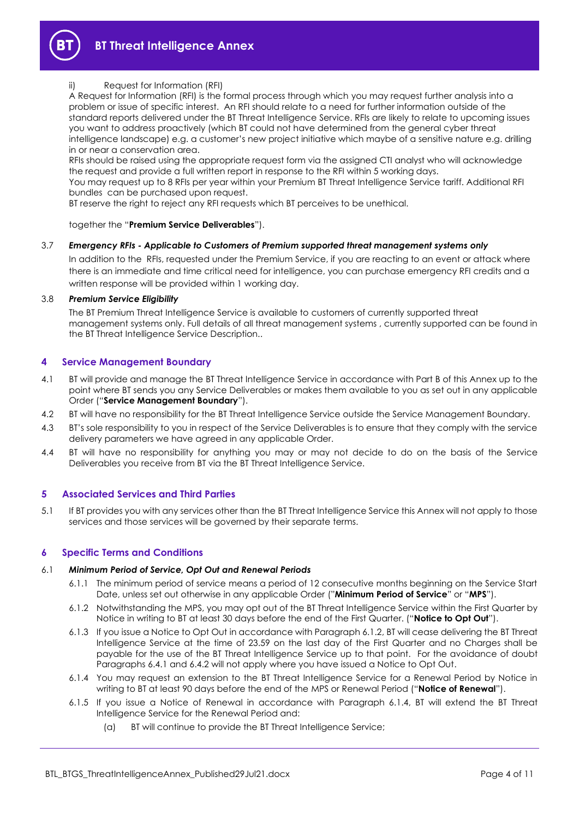

#### Request for Information (RFI)

A Request for Information (RFI) is the formal process through which you may request further analysis into a problem or issue of specific interest. An RFI should relate to a need for further information outside of the standard reports delivered under the BT Threat Intelligence Service. RFIs are likely to relate to upcoming issues you want to address proactively (which BT could not have determined from the general cyber threat intelligence landscape) e.g. a customer's new project initiative which maybe of a sensitive nature e.g. drilling in or near a conservation area.

RFIs should be raised using the appropriate request form via the assigned CTI analyst who will acknowledge the request and provide a full written report in response to the RFI within 5 working days.

You may request up to 8 RFIs per year within your Premium BT Threat Intelligence Service tariff. Additional RFI bundles can be purchased upon request.

BT reserve the right to reject any RFI requests which BT perceives to be unethical.

#### together the "**Premium Service Deliverables**").

#### 3.7 *Emergency RFIs - Applicable to Customers of Premium supported threat management systems only*

In addition to the RFIs, requested under the Premium Service, if you are reacting to an event or attack where there is an immediate and time critical need for intelligence, you can purchase emergency RFI credits and a written response will be provided within 1 working day.

## 3.8 *Premium Service Eligibility*

The BT Premium Threat Intelligence Service is available to customers of currently supported threat management systems only. Full details of all threat management systems , currently supported can be found in the BT Threat Intelligence Service Description..

#### <span id="page-3-0"></span>**4 Service Management Boundary**

- 4.1 BT will provide and manage the BT Threat Intelligence Service in accordance with Part B of this Annex up to the point where BT sends you any Service Deliverables or makes them available to you as set out in any applicable Order ("**Service Management Boundary**").
- 4.2 BT will have no responsibility for the BT Threat Intelligence Service outside the Service Management Boundary.
- 4.3 BT's sole responsibility to you in respect of the Service Deliverables is to ensure that they comply with the service delivery parameters we have agreed in any applicable Order.
- 4.4 BT will have no responsibility for anything you may or may not decide to do on the basis of the Service Deliverables you receive from BT via the BT Threat Intelligence Service.

#### <span id="page-3-1"></span>**5 Associated Services and Third Parties**

5.1 If BT provides you with any services other than the BT Threat Intelligence Service this Annex will not apply to those services and those services will be governed by their separate terms.

## <span id="page-3-2"></span>**6 Specific Terms and Conditions**

#### <span id="page-3-3"></span>6.1 *Minimum Period of Service, Opt Out and Renewal Periods*

- 6.1.1 The minimum period of service means a period of 12 consecutive months beginning on the Service Start Date, unless set out otherwise in any applicable Order ("**Minimum Period of Service**" or "**MPS**").
- 6.1.2 Notwithstanding the MPS, you may opt out of the BT Threat Intelligence Service within the First Quarter by Notice in writing to BT at least 30 days before the end of the First Quarter. ("**Notice to Opt Out**").
- 6.1.3 If you issue a Notice to Opt Out in accordance with Paragraph 6.1.2, BT will cease delivering the BT Threat Intelligence Service at the time of 23.59 on the last day of the First Quarter and no Charges shall be payable for the use of the BT Threat Intelligence Service up to that point. For the avoidance of doubt Paragraphs 6.4.1 and 6.4.2 will not apply where you have issued a Notice to Opt Out.
- 6.1.4 You may request an extension to the BT Threat Intelligence Service for a Renewal Period by Notice in writing to BT at least 90 days before the end of the MPS or Renewal Period ("**Notice of Renewal**").
- 6.1.5 If you issue a Notice of Renewal in accordance with Paragraph 6.1.4, BT will extend the BT Threat Intelligence Service for the Renewal Period and:
	- (a) BT will continue to provide the BT Threat Intelligence Service;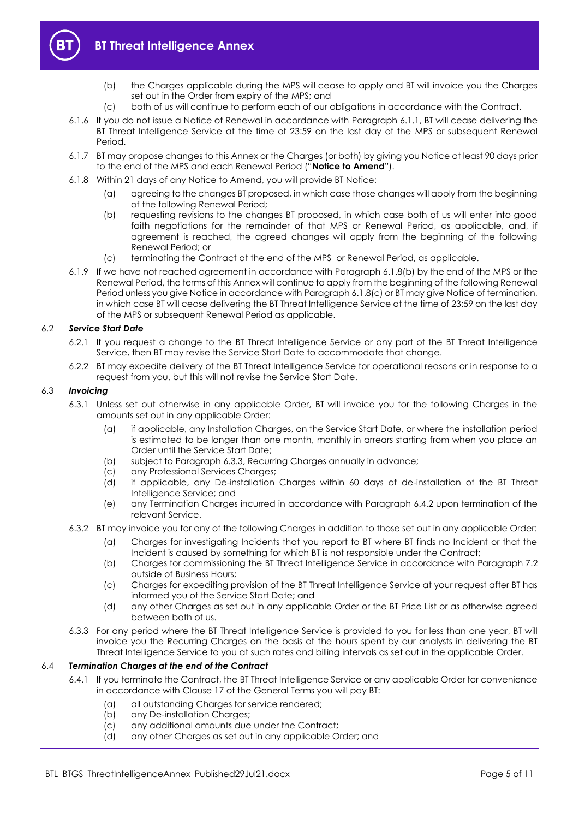

- (b) the Charges applicable during the MPS will cease to apply and BT will invoice you the Charges set out in the Order from expiry of the MPS; and
- (c) both of us will continue to perform each of our obligations in accordance with the Contract.
- 6.1.6 If you do not issue a Notice of Renewal in accordance with Paragraph [6.1.1,](#page-3-3) BT will cease delivering the BT Threat Intelligence Service at the time of 23:59 on the last day of the MPS or subsequent Renewal Period.
- <span id="page-4-4"></span>6.1.7 BT may propose changes to this Annex or the Charges (or both) by giving you Notice at least 90 days prior to the end of the MPS and each Renewal Period ("**Notice to Amend**").
- <span id="page-4-0"></span>6.1.8 Within 21 days of any Notice to Amend, you will provide BT Notice:
	- (a) agreeing to the changes BT proposed, in which case those changes will apply from the beginning of the following Renewal Period;
	- (b) requesting revisions to the changes BT proposed, in which case both of us will enter into good faith negotiations for the remainder of that MPS or Renewal Period, as applicable, and, if agreement is reached, the agreed changes will apply from the beginning of the following Renewal Period; or
	- (c) terminating the Contract at the end of the MPS or Renewal Period, as applicable.
- <span id="page-4-1"></span>6.1.9 If we have not reached agreement in accordance with Paragraph [6.1.8\(b\)](#page-4-0) by the end of the MPS or the Renewal Period, the terms of this Annex will continue to apply from the beginning of the following Renewal Period unless you give Notice in accordance with Paragrap[h 6.1.8\(c\)](#page-4-1) or BT may give Notice of termination, in which case BT will cease delivering the BT Threat Intelligence Service at the time of 23:59 on the last day of the MPS or subsequent Renewal Period as applicable.

# 6.2 *Service Start Date*

- 6.2.1 If you request a change to the BT Threat Intelligence Service or any part of the BT Threat Intelligence Service, then BT may revise the Service Start Date to accommodate that change.
- 6.2.2 BT may expedite delivery of the BT Threat Intelligence Service for operational reasons or in response to a request from you, but this will not revise the Service Start Date.

## <span id="page-4-3"></span>6.3 *Invoicing*

- 6.3.1 Unless set out otherwise in any applicable Order, BT will invoice you for the following Charges in the amounts set out in any applicable Order:
	- (a) if applicable, any Installation Charges, on the Service Start Date, or where the installation period is estimated to be longer than one month, monthly in arrears starting from when you place an Order until the Service Start Date;
	- (b) subject to Paragrap[h 6.3.3,](#page-4-2) Recurring Charges annually in advance;
	- (c) any Professional Services Charges;
	- (d) if applicable, any De-installation Charges within 60 days of de-installation of the BT Threat Intelligence Service; and
	- (e) any Termination Charges incurred in accordance with Paragraph [6.4.2](#page-5-0) upon termination of the relevant Service.
- 6.3.2 BT may invoice you for any of the following Charges in addition to those set out in any applicable Order:
	- (a) Charges for investigating Incidents that you report to BT where BT finds no Incident or that the Incident is caused by something for which BT is not responsible under the Contract;
	- (b) Charges for commissioning the BT Threat Intelligence Service in accordance with Paragraph [7.2](#page-6-3) outside of Business Hours;
	- (c) Charges for expediting provision of the BT Threat Intelligence Service at your request after BT has informed you of the Service Start Date; and
	- (d) any other Charges as set out in any applicable Order or the BT Price List or as otherwise agreed between both of us.
- <span id="page-4-2"></span>6.3.3 For any period where the BT Threat Intelligence Service is provided to you for less than one year, BT will invoice you the Recurring Charges on the basis of the hours spent by our analysts in delivering the BT Threat Intelligence Service to you at such rates and billing intervals as set out in the applicable Order.

# 6.4 *Termination Charges at the end of the Contract*

- 6.4.1 If you terminate the Contract, the BT Threat Intelligence Service or any applicable Order for convenience in accordance with Clause 17 of the General Terms you will pay BT:
	- (a) all outstanding Charges for service rendered;
	- (b) any De-installation Charges;
	- (c) any additional amounts due under the Contract;
	- (d) any other Charges as set out in any applicable Order; and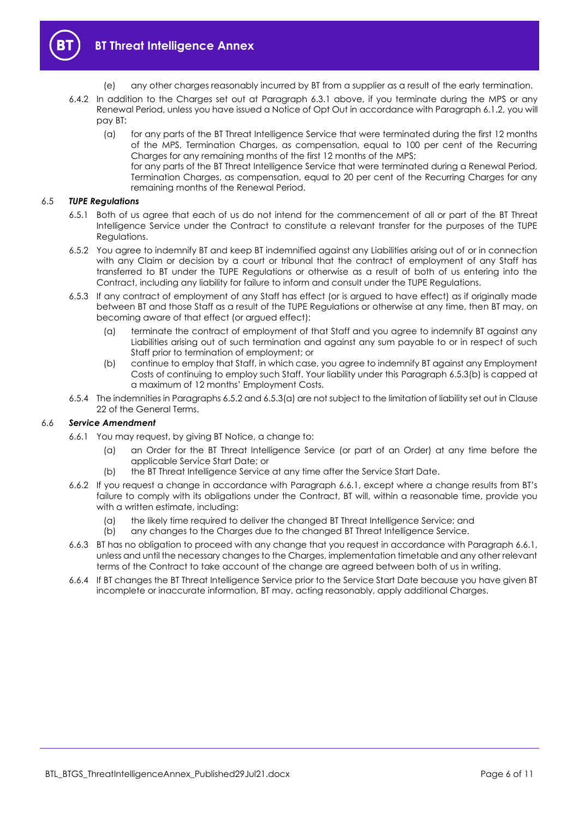

- (e) any other charges reasonably incurred by BT from a supplier as a result of the early termination.
- <span id="page-5-0"></span>6.4.2 In addition to the Charges set out at Paragraph [6.3.1](#page-4-3) above, if you terminate during the MPS or any Renewal Period, unless you have issued a Notice of Opt Out in accordance with Paragraph 6.1.2, you will pay BT:
	- (a) for any parts of the BT Threat Intelligence Service that were terminated during the first 12 months of the MPS, Termination Charges, as compensation, equal to 100 per cent of the Recurring Charges for any remaining months of the first 12 months of the MPS;
		- for any parts of the BT Threat Intelligence Service that were terminated during a Renewal Period, Termination Charges, as compensation, equal to 20 per cent of the Recurring Charges for any remaining months of the Renewal Period.

## 6.5 *TUPE Regulations*

- 6.5.1 Both of us agree that each of us do not intend for the commencement of all or part of the BT Threat Intelligence Service under the Contract to constitute a relevant transfer for the purposes of the TUPE Regulations.
- <span id="page-5-2"></span>6.5.2 You agree to indemnify BT and keep BT indemnified against any Liabilities arising out of or in connection with any Claim or decision by a court or tribunal that the contract of employment of any Staff has transferred to BT under the TUPE Regulations or otherwise as a result of both of us entering into the Contract, including any liability for failure to inform and consult under the TUPE Regulations.
- <span id="page-5-3"></span>6.5.3 If any contract of employment of any Staff has effect (or is argued to have effect) as if originally made between BT and those Staff as a result of the TUPE Regulations or otherwise at any time, then BT may, on becoming aware of that effect (or argued effect):
	- (a) terminate the contract of employment of that Staff and you agree to indemnify BT against any Liabilities arising out of such termination and against any sum payable to or in respect of such Staff prior to termination of employment; or
	- (b) continue to employ that Staff, in which case, you agree to indemnify BT against any Employment Costs of continuing to employ such Staff. Your liability under this Paragraph [6.5.3\(b\)](#page-5-1) is capped at a maximum of 12 months' Employment Costs.
- <span id="page-5-1"></span>6.5.4 The indemnities in Paragraph[s 6.5.2](#page-5-2) an[d 6.5.3\(a\)](#page-5-3) are not subject to the limitation of liability set out in Clause 22 of the General Terms.

#### <span id="page-5-4"></span>6.6 *Service Amendment*

- 6.6.1 You may request, by giving BT Notice, a change to:
	- (a) an Order for the BT Threat Intelligence Service (or part of an Order) at any time before the applicable Service Start Date; or
	- (b) the BT Threat Intelligence Service at any time after the Service Start Date.
- 6.6.2 If you request a change in accordance with Paragraph [6.6.1](#page-5-4), except where a change results from BT's failure to comply with its obligations under the Contract, BT will, within a reasonable time, provide you with a written estimate, including:
	- (a) the likely time required to deliver the changed BT Threat Intelligence Service; and
	- (b) any changes to the Charges due to the changed BT Threat Intelligence Service.
- 6.6.3 BT has no obligation to proceed with any change that you request in accordance with Paragraph [6.6.1,](#page-5-4) unless and until the necessary changes to the Charges, implementation timetable and any other relevant terms of the Contract to take account of the change are agreed between both of us in writing.
- 6.6.4 If BT changes the BT Threat Intelligence Service prior to the Service Start Date because you have given BT incomplete or inaccurate information, BT may, acting reasonably, apply additional Charges.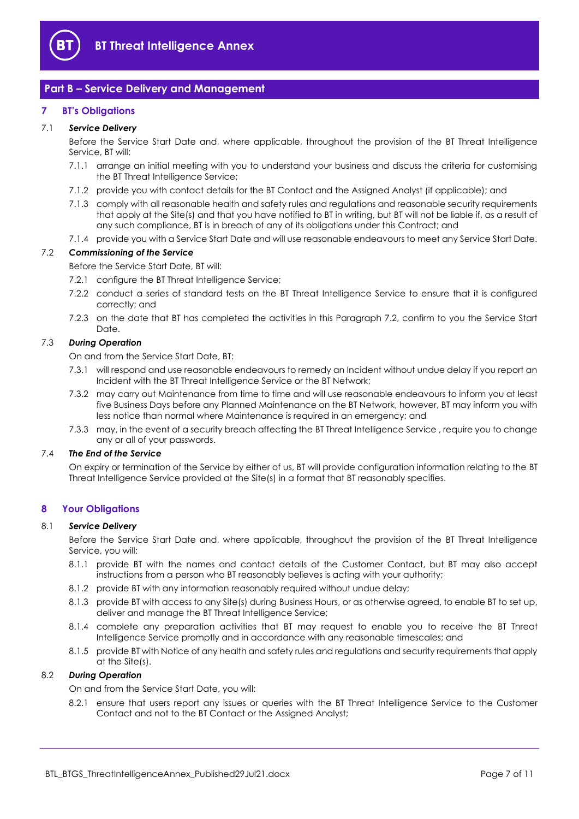

# <span id="page-6-0"></span>**Part B – Service Delivery and Management**

# <span id="page-6-1"></span>**7 BT's Obligations**

## 7.1 *Service Delivery*

Before the Service Start Date and, where applicable, throughout the provision of the BT Threat Intelligence Service, BT will:

- 7.1.1 arrange an initial meeting with you to understand your business and discuss the criteria for customising the BT Threat Intelligence Service;
- 7.1.2 provide you with contact details for the BT Contact and the Assigned Analyst (if applicable); and
- 7.1.3 comply with all reasonable health and safety rules and regulations and reasonable security requirements that apply at the Site(s) and that you have notified to BT in writing, but BT will not be liable if, as a result of any such compliance, BT is in breach of any of its obligations under this Contract; and
- 7.1.4 provide you with a Service Start Date and will use reasonable endeavours to meet any Service Start Date.

# <span id="page-6-3"></span>7.2 *Commissioning of the Service*

Before the Service Start Date, BT will:

- 7.2.1 configure the BT Threat Intelligence Service;
- 7.2.2 conduct a series of standard tests on the BT Threat Intelligence Service to ensure that it is configured correctly; and
- 7.2.3 on the date that BT has completed the activities in this Paragraph [7.2,](#page-6-3) confirm to you the Service Start Date.

#### 7.3 *During Operation*

On and from the Service Start Date, BT:

- 7.3.1 will respond and use reasonable endeavours to remedy an Incident without undue delay if you report an Incident with the BT Threat Intelligence Service or the BT Network;
- 7.3.2 may carry out Maintenance from time to time and will use reasonable endeavours to inform you at least five Business Days before any Planned Maintenance on the BT Network, however, BT may inform you with less notice than normal where Maintenance is required in an emergency; and
- 7.3.3 may, in the event of a security breach affecting the BT Threat Intelligence Service , require you to change any or all of your passwords.

## 7.4 *The End of the Service*

On expiry or termination of the Service by either of us, BT will provide configuration information relating to the BT Threat Intelligence Service provided at the Site(s) in a format that BT reasonably specifies.

#### <span id="page-6-2"></span>**8 Your Obligations**

#### 8.1 *Service Delivery*

Before the Service Start Date and, where applicable, throughout the provision of the BT Threat Intelligence Service, you will:

- 8.1.1 provide BT with the names and contact details of the Customer Contact, but BT may also accept instructions from a person who BT reasonably believes is acting with your authority;
- 8.1.2 provide BT with any information reasonably required without undue delay;
- 8.1.3 provide BT with access to any Site(s) during Business Hours, or as otherwise agreed, to enable BT to set up, deliver and manage the BT Threat Intelligence Service;
- 8.1.4 complete any preparation activities that BT may request to enable you to receive the BT Threat Intelligence Service promptly and in accordance with any reasonable timescales; and
- 8.1.5 provide BT with Notice of any health and safety rules and regulations and security requirements that apply at the Site(s).

#### 8.2 *During Operation*

On and from the Service Start Date, you will:

8.2.1 ensure that users report any issues or queries with the BT Threat Intelligence Service to the Customer Contact and not to the BT Contact or the Assigned Analyst;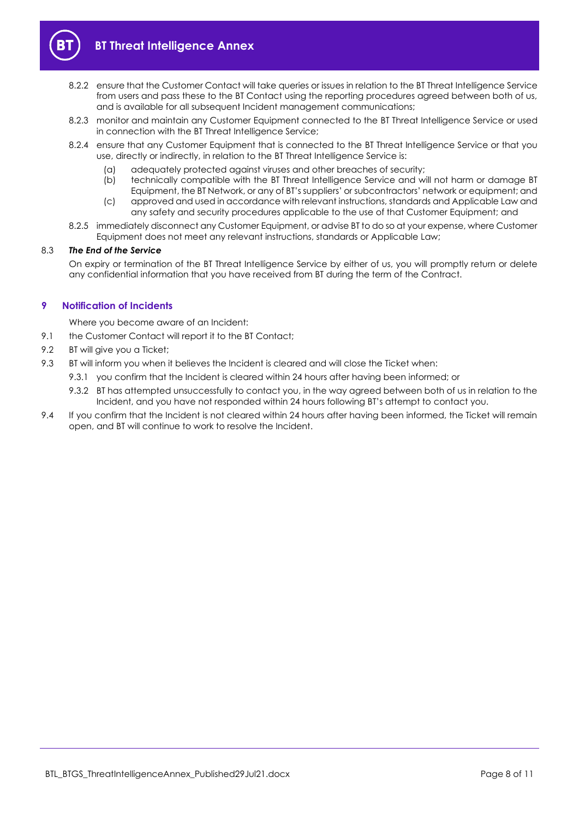

- 8.2.2 ensure that the Customer Contact will take queries or issues in relation to the BT Threat Intelligence Service from users and pass these to the BT Contact using the reporting procedures agreed between both of us, and is available for all subsequent Incident management communications;
- 8.2.3 monitor and maintain any Customer Equipment connected to the BT Threat Intelligence Service or used in connection with the BT Threat Intelligence Service;
- 8.2.4 ensure that any Customer Equipment that is connected to the BT Threat Intelligence Service or that you use, directly or indirectly, in relation to the BT Threat Intelligence Service is:
	- (a) adequately protected against viruses and other breaches of security;
	- (b) technically compatible with the BT Threat Intelligence Service and will not harm or damage BT Equipment, the BT Network, or any of BT's suppliers' or subcontractors' network or equipment; and
	- (c) approved and used in accordance with relevant instructions, standards and Applicable Law and any safety and security procedures applicable to the use of that Customer Equipment; and
- 8.2.5 immediately disconnect any Customer Equipment, or advise BT to do so at your expense, where Customer Equipment does not meet any relevant instructions, standards or Applicable Law;

#### 8.3 *The End of the Service*

On expiry or termination of the BT Threat Intelligence Service by either of us, you will promptly return or delete any confidential information that you have received from BT during the term of the Contract.

# <span id="page-7-0"></span>**9 Notification of Incidents**

Where you become aware of an Incident:

- 9.1 the Customer Contact will report it to the BT Contact;
- 9.2 BT will give you a Ticket:
- 9.3 BT will inform you when it believes the Incident is cleared and will close the Ticket when:
	- 9.3.1 you confirm that the Incident is cleared within 24 hours after having been informed; or
	- 9.3.2 BT has attempted unsuccessfully to contact you, in the way agreed between both of us in relation to the Incident, and you have not responded within 24 hours following BT's attempt to contact you.
- 9.4 If you confirm that the Incident is not cleared within 24 hours after having been informed, the Ticket will remain open, and BT will continue to work to resolve the Incident.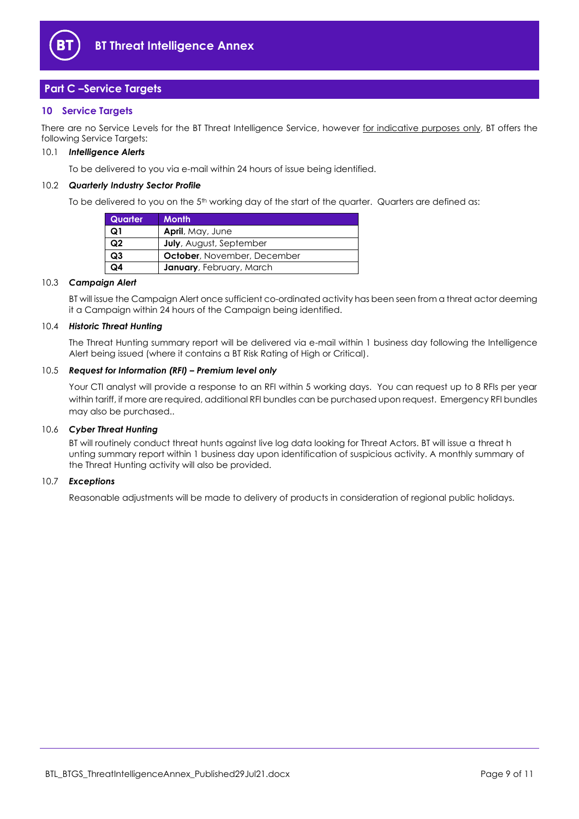

# <span id="page-8-0"></span>**Part C –Service Targets**

# **10 Service Targets**

There are no Service Levels for the BT Threat Intelligence Service, however for indicative purposes only, BT offers the following Service Targets:

#### 10.1 *Intelligence Alerts*

To be delivered to you via e-mail within 24 hours of issue being identified.

#### 10.2 *Quarterly Industry Sector Profile*

To be delivered to you on the  $5<sup>th</sup>$  working day of the start of the quarter. Quarters are defined as:

| Quarter        | Month <sup>1</sup>              |
|----------------|---------------------------------|
| Q1             | April, May, June                |
| Q <sub>2</sub> | <b>July</b> , August, September |
| Q <sub>3</sub> | October, November, December     |
| ۵4             | January, February, March        |

#### 10.3 *Campaign Alert*

BT will issue the Campaign Alert once sufficient co-ordinated activity has been seen from a threat actor deeming it a Campaign within 24 hours of the Campaign being identified.

#### 10.4 *Historic Threat Hunting*

The Threat Hunting summary report will be delivered via e-mail within 1 business day following the Intelligence Alert being issued (where it contains a BT Risk Rating of High or Critical).

#### 10.5 *Request for Information (RFI) – Premium level only*

Your CTI analyst will provide a response to an RFI within 5 working days. You can request up to 8 RFIs per year within tariff, if more are required, additional RFI bundles can be purchased upon request. Emergency RFI bundles may also be purchased..

#### 10.6 *Cyber Threat Hunting*

BT will routinely conduct threat hunts against live log data looking for Threat Actors. BT will issue a threat h unting summary report within 1 business day upon identification of suspicious activity. A monthly summary of the Threat Hunting activity will also be provided.

#### 10.7 *Exceptions*

Reasonable adjustments will be made to delivery of products in consideration of regional public holidays.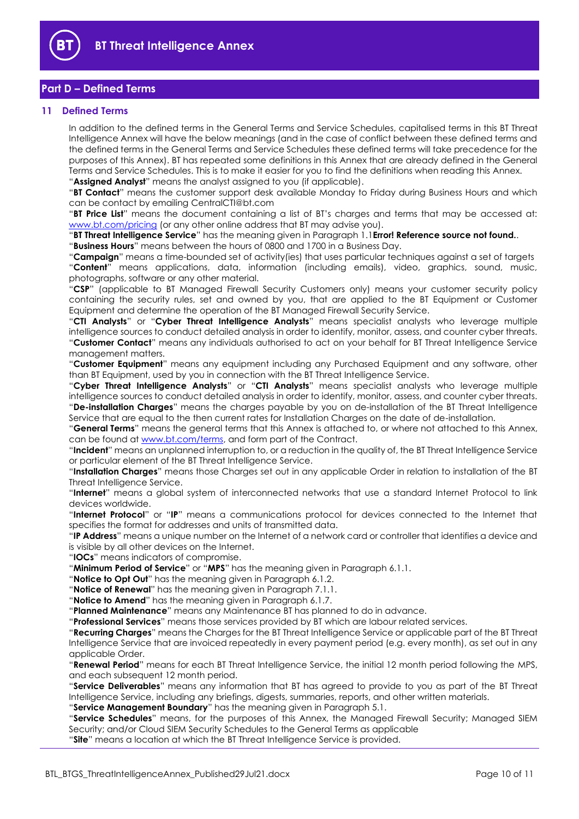

# <span id="page-9-0"></span>**Part D – Defined Terms**

## <span id="page-9-1"></span>**11 Defined Terms**

In addition to the defined terms in the General Terms and Service Schedules, capitalised terms in this BT Threat Intelligence Annex will have the below meanings (and in the case of conflict between these defined terms and the defined terms in the General Terms and Service Schedules these defined terms will take precedence for the purposes of this Annex). BT has repeated some definitions in this Annex that are already defined in the General Terms and Service Schedules. This is to make it easier for you to find the definitions when reading this Annex. "**Assigned Analyst**" means the analyst assigned to you (if applicable).

"**BT Contact**" means the customer support desk available Monday to Friday during Business Hours and which can be contact by emailing CentralCTI@bt.com

"**BT Price List**" means the document containing a list of BT's charges and terms that may be accessed at: [www.bt.com/pricing](http://www.bt.com/pricing) (or any other online address that BT may advise you).

"**BT Threat Intelligence Service**" has the meaning given in Paragraph 1.1**Error! Reference source not found.**.

"**Business Hours**" means between the hours of 0800 and 1700 in a Business Day.

"**Campaign**" means a time-bounded set of activity(ies) that uses particular techniques against a set of targets "**Content**" means applications, data, information (including emails), video, graphics, sound, music, photographs, software or any other material.

"**CSP**" (applicable to BT Managed Firewall Security Customers only) means your customer security policy containing the security rules, set and owned by you, that are applied to the BT Equipment or Customer Equipment and determine the operation of the BT Managed Firewall Security Service.

"**CTI Analysts**" or "**Cyber Threat Intelligence Analysts**" means specialist analysts who leverage multiple intelligence sources to conduct detailed analysis in order to identify, monitor, assess, and counter cyber threats. "**Customer Contact**" means any individuals authorised to act on your behalf for BT Threat Intelligence Service management matters.

"**Customer Equipment**" means any equipment including any Purchased Equipment and any software, other than BT Equipment, used by you in connection with the BT Threat Intelligence Service.

"**Cyber Threat Intelligence Analysts**" or "**CTI Analysts**" means specialist analysts who leverage multiple intelligence sources to conduct detailed analysis in order to identify, monitor, assess, and counter cyber threats. "**De-installation Charges**" means the charges payable by you on de-installation of the BT Threat Intelligence Service that are equal to the then current rates for Installation Charges on the date of de-installation.

"**General Terms**" means the general terms that this Annex is attached to, or where not attached to this Annex, can be found at [www.bt.com/terms,](http://www.bt.com/terms) and form part of the Contract.

"**Incident**" means an unplanned interruption to, or a reduction in the quality of, the BT Threat Intelligence Service or particular element of the BT Threat Intelligence Service.

"**Installation Charges**" means those Charges set out in any applicable Order in relation to installation of the BT Threat Intelligence Service.

"**Internet**" means a global system of interconnected networks that use a standard Internet Protocol to link devices worldwide.

"**Internet Protocol**" or "**IP**" means a communications protocol for devices connected to the Internet that specifies the format for addresses and units of transmitted data.

"**IP Address**" means a unique number on the Internet of a network card or controller that identifies a device and is visible by all other devices on the Internet.

"**IOCs**" means indicators of compromise.

"**Minimum Period of Service**" or "**MPS**" has the meaning given in Paragraph 6.1.1.

"**Notice to Opt Out**" has the meaning given in Paragraph 6.1.2.

"**Notice of Renewal**" has the meaning given in Paragraph 7.1.1.

"**Notice to Amend**" has the meaning given in Paragraph [6.1.7.](#page-4-4)

"**Planned Maintenance**" means any Maintenance BT has planned to do in advance.

"**Professional Services**" means those services provided by BT which are labour related services.

"**Recurring Charges**" means the Charges for the BT Threat Intelligence Service or applicable part of the BT Threat Intelligence Service that are invoiced repeatedly in every payment period (e.g. every month), as set out in any applicable Order.

"**Renewal Period**" means for each BT Threat Intelligence Service, the initial 12 month period following the MPS, and each subsequent 12 month period.

"**Service Deliverables**" means any information that BT has agreed to provide to you as part of the BT Threat Intelligence Service, including any briefings, digests, summaries, reports, and other written materials.

"**Service Management Boundary**" has the meaning given in Paragraph 5.1.

"**Service Schedules**" means, for the purposes of this Annex, the Managed Firewall Security; Managed SIEM Security; and/or Cloud SIEM Security Schedules to the General Terms as applicable

"**Site**" means a location at which the BT Threat Intelligence Service is provided.